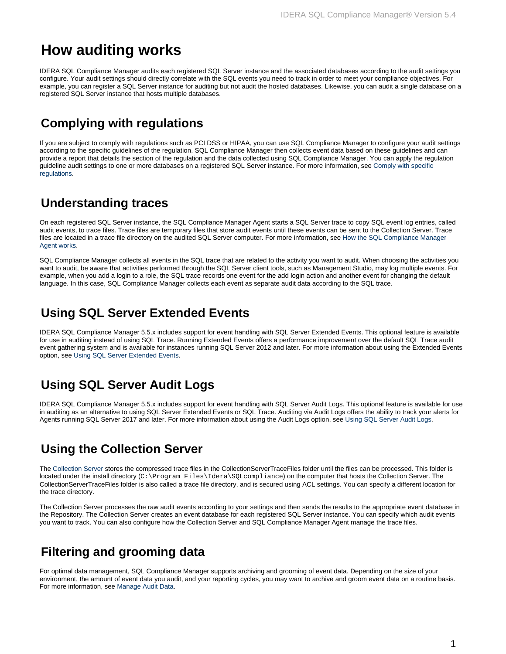# **How auditing works**

IDERA SQL Compliance Manager audits each registered SQL Server instance and the associated databases according to the audit settings you configure. Your audit settings should directly correlate with the SQL events you need to track in order to meet your compliance objectives. For example, you can register a SQL Server instance for auditing but not audit the hosted databases. Likewise, you can audit a single database on a registered SQL Server instance that hosts multiple databases.

#### **Complying with regulations**

If you are subject to comply with regulations such as PCI DSS or HIPAA, you can use SQL Compliance Manager to configure your audit settings according to the specific guidelines of the regulation. SQL Compliance Manager then collects event data based on these guidelines and can provide a report that details the section of the regulation and the data collected using SQL Compliance Manager. You can apply the regulation guideline audit settings to one or more databases on a registered SQL Server instance. For more information, see [Comply with specific](https://wiki.idera.com/display/SQLCM55/Comply+with+specific+regulations)  [regulations](https://wiki.idera.com/display/SQLCM55/Comply+with+specific+regulations).

#### **Understanding traces**

On each registered SQL Server instance, the SQL Compliance Manager Agent starts a SQL Server trace to copy SQL event log entries, called audit events, to trace files. Trace files are temporary files that store audit events until these events can be sent to the Collection Server. Trace files are located in a trace file directory on the audited SQL Server computer. For more information, see [How the SQL Compliance Manager](https://wiki.idera.com/display/SQLCM55/How+the+SQL+Compliance+Manager+Agent+works)  [Agent works.](https://wiki.idera.com/display/SQLCM55/How+the+SQL+Compliance+Manager+Agent+works)

SQL Compliance Manager collects all events in the SQL trace that are related to the activity you want to audit. When choosing the activities you want to audit, be aware that activities performed through the SQL Server client tools, such as Management Studio, may log multiple events. For example, when you add a login to a role, the SQL trace records one event for the add login action and another event for changing the default language. In this case, SQL Compliance Manager collects each event as separate audit data according to the SQL trace.

#### **Using SQL Server Extended Events**

IDERA SQL Compliance Manager 5.5.x includes support for event handling with SQL Server Extended Events. This optional feature is available for use in auditing instead of using SQL Trace. Running Extended Events offers a performance improvement over the default SQL Trace audit event gathering system and is available for instances running SQL Server 2012 and later. For more information about using the Extended Events option, see [Using SQL Server Extended Events](https://wiki.idera.com/display/SQLCM55/Using+SQL+Server+Extended+Events).

# **Using SQL Server Audit Logs**

IDERA SQL Compliance Manager 5.5.x includes support for event handling with SQL Server Audit Logs. This optional feature is available for use in auditing as an alternative to using SQL Server Extended Events or SQL Trace. Auditing via Audit Logs offers the ability to track your alerts for Agents running SQL Server 2017 and later. For more information about using the Audit Logs option, see [Using SQL Server Audit Logs](https://wiki.idera.com/display/SQLCM55/Using+SQL+Server+Audit+Logs).

# **Using the Collection Server**

The [Collection Server](https://wiki.idera.com/display/SQLCM55/Product+components+and+architecture) stores the compressed trace files in the CollectionServerTraceFiles folder until the files can be processed. This folder is located under the install directory (C:\Program Files\Idera\SQLcompliance) on the computer that hosts the Collection Server. The CollectionServerTraceFiles folder is also called a trace file directory, and is secured using ACL settings. You can specify a different location for the trace directory.

The Collection Server processes the raw audit events according to your settings and then sends the results to the appropriate event database in the Repository. The Collection Server creates an event database for each registered SQL Server instance. You can specify which audit events you want to track. You can also configure how the Collection Server and SQL Compliance Manager Agent manage the trace files.

# **Filtering and grooming data**

For optimal data management, SQL Compliance Manager supports archiving and grooming of event data. Depending on the size of your environment, the amount of event data you audit, and your reporting cycles, you may want to archive and groom event data on a routine basis. For more information, see [Manage Audit Data](https://wiki.idera.com/display/SQLCM55/Manage+Audit+Data).